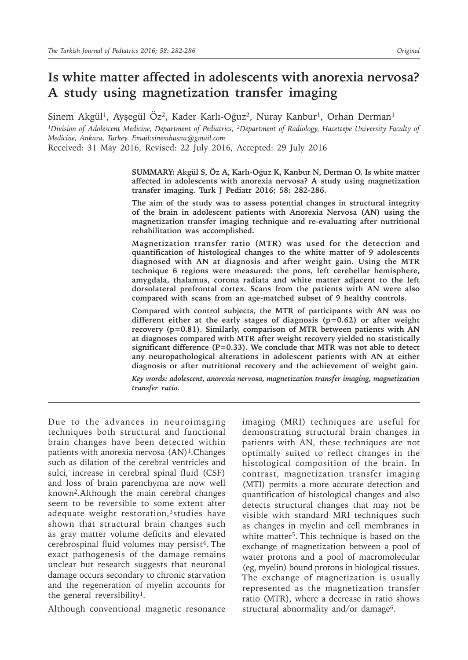# **Is white matter affected in adolescents with anorexia nervosa? A study using magnetization transfer imaging**

Sinem Akgül<sup>1</sup>, Ayşegül Öz<sup>2</sup>, Kader Karlı-Oğuz<sup>2</sup>, Nuray Kanbur<sup>1</sup>, Orhan Derman<sup>1</sup>

*1Division of Adolescent Medicine, Department of Pediatrics, 2Department of Radiology, Hacettepe University Faculty of Medicine, Ankara, Turkey. Email:sinemhusnu@gmail.com*

Received: 31 May 2016, Revised: 22 July 2016, Accepted: 29 July 2016

**SUMMARY: Akgül S, Öz A, Karlı-Oğuz K, Kanbur N, Derman O. Is white matter affected in adolescents with anorexia nervosa? A study using magnetization transfer imaging. Turk J Pediatr 2016; 58: 282-286.**

**The aim of the study was to assess potential changes in structural integrity of the brain in adolescent patients with Anorexia Nervosa (AN) using the magnetization transfer imaging technique and re-evaluating after nutritional rehabilitation was accomplished.** 

**Magnetization transfer ratio (MTR) was used for the detection and quantification of histological changes to the white matter of 9 adolescents diagnosed with AN at diagnosis and after weight gain. Using the MTR technique 6 regions were measured: the pons, left cerebellar hemisphere, amygdala, thalamus, corona radiata and white matter adjacent to the left dorsolateral prefrontal cortex. Scans from the patients with AN were also compared with scans from an age-matched subset of 9 healthy controls.**

**Compared with control subjects, the MTR of participants with AN was no different either at the early stages of diagnosis (p=0.62) or after weight recovery (p=0.81). Similarly, comparison of MTR between patients with AN at diagnoses compared with MTR after weight recovery yielded no statistically significant difference (P=0.33). We conclude that MTR was not able to detect any neuropathological alterations in adolescent patients with AN at either diagnosis or after nutritional recovery and the achievement of weight gain.**

*Key words: adolescent, anorexia nervosa, magnetization transfer imaging, magnetization transfer ratio.*

Due to the advances in neuroimaging techniques both structural and functional brain changes have been detected within patients with anorexia nervosa  $(AN)^1$ . Changes such as dilation of the cerebral ventricles and sulci, increase in cerebral spinal fluid (CSF) and loss of brain parenchyma are now well known2.Although the main cerebral changes seem to be reversible to some extent after adequate weight restoration,<sup>3</sup> studies have shown that structural brain changes such as gray matter volume deficits and elevated cerebrospinal fluid volumes may persist<sup>4</sup>. The exact pathogenesis of the damage remains unclear but research suggests that neuronal damage occurs secondary to chronic starvation and the regeneration of myelin accounts for the general reversibility<sup>1</sup>.

Although conventional magnetic resonance

imaging (MRI) techniques are useful for demonstrating structural brain changes in patients with AN, these techniques are not optimally suited to reflect changes in the histological composition of the brain. In contrast, magnetization transfer imaging (MTI) permits a more accurate detection and quantification of histological changes and also detects structural changes that may not be visible with standard MRI techniques such as changes in myelin and cell membranes in white matter<sup>5</sup>. This technique is based on the exchange of magnetization between a pool of water protons and a pool of macromolecular (eg, myelin) bound protons in biological tissues. The exchange of magnetization is usually represented as the magnetization transfer ratio (MTR), where a decrease in ratio shows structural abnormality and/or damage<sup>6</sup>.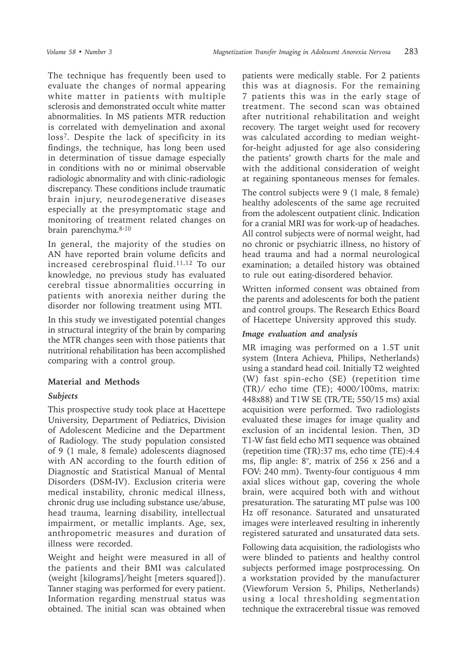The technique has frequently been used to evaluate the changes of normal appearing white matter in patients with multiple sclerosis and demonstrated occult white matter abnormalities. In MS patients MTR reduction is correlated with demyelination and axonal loss7. Despite the lack of specificity in its findings, the technique, has long been used in determination of tissue damage especially in conditions with no or minimal observable radiologic abnormality and with clinic-radiologic discrepancy. These conditions include traumatic brain injury, neurodegenerative diseases especially at the presymptomatic stage and monitoring of treatment related changes on brain parenchyma.8-10

In general, the majority of the studies on AN have reported brain volume deficits and increased cerebrospinal fluid.11,12 To our knowledge, no previous study has evaluated cerebral tissue abnormalities occurring in patients with anorexia neither during the disorder nor following treatment using MTI.

In this study we investigated potential changes in structural integrity of the brain by comparing the MTR changes seen with those patients that nutritional rehabilitation has been accomplished comparing with a control group.

# **Material and Methods**

# *Subjects*

This prospective study took place at Hacettepe University, Department of Pediatrics, Division of Adolescent Medicine and the Department of Radiology. The study population consisted of 9 (1 male, 8 female) adolescents diagnosed with AN according to the fourth edition of Diagnostic and Statistical Manual of Mental Disorders (DSM-IV). Exclusion criteria were medical instability, chronic medical illness, chronic drug use including substance use/abuse, head trauma, learning disability, intellectual impairment, or metallic implants. Age, sex, anthropometric measures and duration of illness were recorded.

Weight and height were measured in all of the patients and their BMI was calculated (weight [kilograms]/height [meters squared]). Tanner staging was performed for every patient. Information regarding menstrual status was obtained. The initial scan was obtained when

patients were medically stable. For 2 patients this was at diagnosis. For the remaining 7 patients this was in the early stage of treatment. The second scan was obtained after nutritional rehabilitation and weight recovery. The target weight used for recovery was calculated according to median weightfor-height adjusted for age also considering the patients' growth charts for the male and with the additional consideration of weight at regaining spontaneous menses for females.

The control subjects were 9 (1 male, 8 female) healthy adolescents of the same age recruited from the adolescent outpatient clinic. Indication for a cranial MRI was for work-up of headaches. All control subjects were of normal weight, had no chronic or psychiatric illness, no history of head trauma and had a normal neurological examination; a detailed history was obtained to rule out eating-disordered behavior.

Written informed consent was obtained from the parents and adolescents for both the patient and control groups. The Research Ethics Board of Hacettepe University approved this study.

#### *Image evaluation and analysis*

MR imaging was performed on a 1.5T unit system (Intera Achieva, Philips, Netherlands) using a standard head coil. Initially T2 weighted (W) fast spin-echo (SE) (repetition time (TR)/ echo time (TE); 4000/100ms, matrix: 448x88) and T1W SE (TR/TE; 550/15 ms) axial acquisition were performed. Two radiologists evaluated these images for image quality and exclusion of an incidental lesion. Then, 3D T1-W fast field echo MTI sequence was obtained (repetition time (TR):37 ms, echo time (TE):4.4 ms, flip angle: 8°, matrix of 256 x 256 and a FOV: 240 mm). Twenty-four contiguous 4 mm axial slices without gap, covering the whole brain, were acquired both with and without presaturation. The saturating MT pulse was 100 Hz off resonance. Saturated and unsaturated images were interleaved resulting in inherently registered saturated and unsaturated data sets.

Following data acquisition, the radiologists who were blinded to patients and healthy control subjects performed image postprocessing. On a workstation provided by the manufacturer (Viewforum Version 5, Philips, Netherlands) using a local thresholding segmentation technique the extracerebral tissue was removed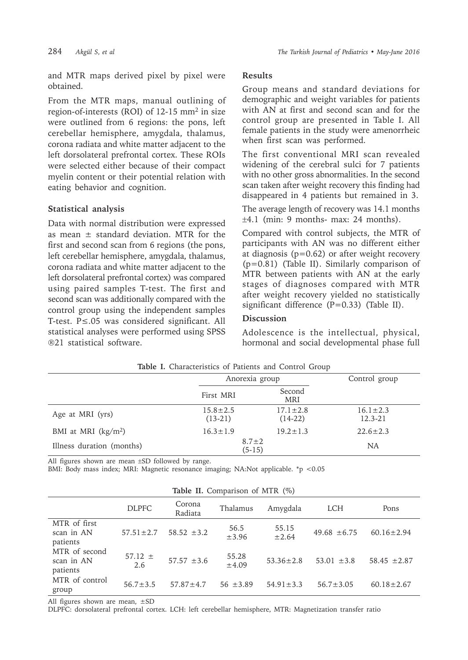and MTR maps derived pixel by pixel were obtained.

From the MTR maps, manual outlining of region-of-interests (ROI) of 12-15 mm<sup>2</sup> in size were outlined from 6 regions: the pons, left cerebellar hemisphere, amygdala, thalamus, corona radiata and white matter adjacent to the left dorsolateral prefrontal cortex. These ROIs were selected either because of their compact myelin content or their potential relation with eating behavior and cognition.

# **Statistical analysis**

Data with normal distribution were expressed as mean  $\pm$  standard deviation. MTR for the first and second scan from 6 regions (the pons, left cerebellar hemisphere, amygdala, thalamus, corona radiata and white matter adjacent to the left dorsolateral prefrontal cortex) was compared using paired samples T-test. The first and second scan was additionally compared with the control group using the independent samples T-test. P≤.05 was considered significant. All statistical analyses were performed using SPSS ®21 statistical software.

#### **Results**

Group means and standard deviations for demographic and weight variables for patients with AN at first and second scan and for the control group are presented in Table I. All female patients in the study were amenorrheic when first scan was performed.

The first conventional MRI scan revealed widening of the cerebral sulci for 7 patients with no other gross abnormalities. In the second scan taken after weight recovery this finding had disappeared in 4 patients but remained in 3.

The average length of recovery was 14.1 months  $\pm 4.1$  (min: 9 months- max: 24 months).

Compared with control subjects, the MTR of participants with AN was no different either at diagnosis ( $p=0.62$ ) or after weight recovery (p=0.81) (Table II). Similarly comparison of MTR between patients with AN at the early stages of diagnoses compared with MTR after weight recovery yielded no statistically significant difference (P=0.33) (Table II).

#### **Discussion**

Adolescence is the intellectual, physical, hormonal and social developmental phase full

|                           | Anorexia group              |                             | Control group                 |
|---------------------------|-----------------------------|-----------------------------|-------------------------------|
|                           | First MRI                   | Second<br><b>MRI</b>        |                               |
| Age at MRI (yrs)          | $15.8 \pm 2.5$<br>$(13-21)$ | $17.1 \pm 2.8$<br>$(14-22)$ | $16.1 \pm 2.3$<br>$12.3 - 21$ |
| BMI at MRI $(kg/m2)$      | $16.3 \pm 1.9$              | $19.2 \pm 1.3$              | $22.6 \pm 2.3$                |
| Illness duration (months) | $8.7 \pm 2$<br>$(5-15)$     |                             | <b>NA</b>                     |

**Table I.** Characteristics of Patients and Control Group

All figures shown are mean ±SD followed by range.

BMI: Body mass index; MRI: Magnetic resonance imaging; NA:Not applicable. \*p <0.05

|  |  | Table II. Comparison of MTR (%) |  |  |  |
|--|--|---------------------------------|--|--|--|
|--|--|---------------------------------|--|--|--|

| rable in companion of $MIR$ ( $70$ )    |                 |                   |                     |                 |                  |                  |  |  |  |
|-----------------------------------------|-----------------|-------------------|---------------------|-----------------|------------------|------------------|--|--|--|
|                                         | <b>DLPFC</b>    | Corona<br>Radiata | Thalamus            | Amygdala        | <b>LCH</b>       | Pons             |  |  |  |
| MTR of first<br>scan in AN<br>patients  | $57.51 \pm 2.7$ | $58.52 \pm 3.2$   | 56.5<br>$\pm$ 3.96  | 55.15<br>±2.64  | $49.68 \pm 6.75$ | $60.16 \pm 2.94$ |  |  |  |
| MTR of second<br>scan in AN<br>patients | $57.12 \pm 2.6$ | $57.57 \pm 3.6$   | 55.28<br>$\pm 4.09$ | $53.36 \pm 2.8$ | $53.01 \pm 3.8$  | 58.45 $\pm 2.87$ |  |  |  |
| MTR of control<br>group                 | $56.7 + 3.5$    | $57.87 + 4.7$     | $56 + 3.89$         | $54.91 \pm 3.3$ | $56.7 + 3.05$    | $60.18 \pm 2.67$ |  |  |  |

All figures shown are mean, ±SD

DLPFC: dorsolateral prefrontal cortex. LCH: left cerebellar hemisphere, MTR: Magnetization transfer ratio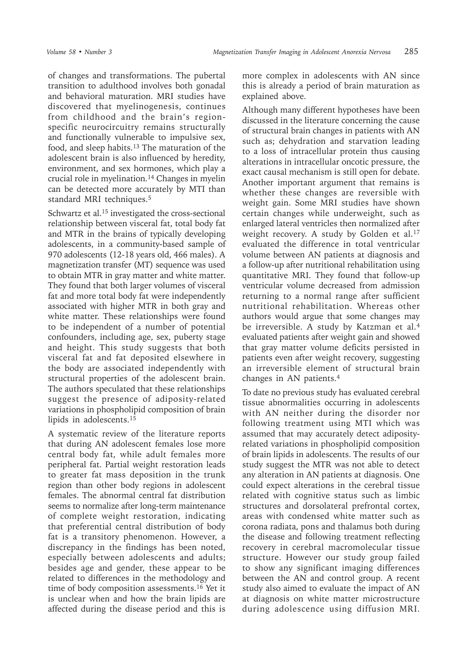of changes and transformations. The pubertal transition to adulthood involves both gonadal and behavioral maturation. MRI studies have discovered that myelinogenesis, continues from childhood and the brain's regionspecific neurocircuitry remains structurally and functionally vulnerable to impulsive sex, food, and sleep habits.<sup>13</sup> The maturation of the adolescent brain is also influenced by heredity, environment, and sex hormones, which play a crucial role in myelination.<sup>14</sup> Changes in myelin can be detected more accurately by MTI than standard MRI techniques.5

Schwartz et al.<sup>15</sup> investigated the cross-sectional relationship between visceral fat, total body fat and MTR in the brains of typically developing adolescents, in a community-based sample of 970 adolescents (12-18 years old, 466 males). A magnetization transfer (MT) sequence was used to obtain MTR in gray matter and white matter. They found that both larger volumes of visceral fat and more total body fat were independently associated with higher MTR in both gray and white matter. These relationships were found to be independent of a number of potential confounders, including age, sex, puberty stage and height. This study suggests that both visceral fat and fat deposited elsewhere in the body are associated independently with structural properties of the adolescent brain. The authors speculated that these relationships suggest the presence of adiposity-related variations in phospholipid composition of brain lipids in adolescents.15

A systematic review of the literature reports that during AN adolescent females lose more central body fat, while adult females more peripheral fat. Partial weight restoration leads to greater fat mass deposition in the trunk region than other body regions in adolescent females. The abnormal central fat distribution seems to normalize after long-term maintenance of complete weight restoration, indicating that preferential central distribution of body fat is a transitory phenomenon. However, a discrepancy in the findings has been noted, especially between adolescents and adults; besides age and gender, these appear to be related to differences in the methodology and time of body composition assessments.<sup>16</sup> Yet it is unclear when and how the brain lipids are affected during the disease period and this is

more complex in adolescents with AN since this is already a period of brain maturation as explained above.

Although many different hypotheses have been discussed in the literature concerning the cause of structural brain changes in patients with AN such as; dehydration and starvation leading to a loss of intracellular protein thus causing alterations in intracellular oncotic pressure, the exact causal mechanism is still open for debate. Another important argument that remains is whether these changes are reversible with weight gain. Some MRI studies have shown certain changes while underweight, such as enlarged lateral ventricles then normalized after weight recovery. A study by Golden et al.<sup>17</sup> evaluated the difference in total ventricular volume between AN patients at diagnosis and a follow-up after nutritional rehabilitation using quantitative MRI. They found that follow-up ventricular volume decreased from admission returning to a normal range after sufficient nutritional rehabilitation. Whereas other authors would argue that some changes may be irreversible. A study by Katzman et al.<sup>4</sup> evaluated patients after weight gain and showed that gray matter volume deficits persisted in patients even after weight recovery, suggesting an irreversible element of structural brain changes in AN patients.<sup>4</sup>

To date no previous study has evaluated cerebral tissue abnormalities occurring in adolescents with AN neither during the disorder nor following treatment using MTI which was assumed that may accurately detect adiposityrelated variations in phospholipid composition of brain lipids in adolescents. The results of our study suggest the MTR was not able to detect any alteration in AN patients at diagnosis. One could expect alterations in the cerebral tissue related with cognitive status such as limbic structures and dorsolateral prefrontal cortex, areas with condensed white matter such as corona radiata, pons and thalamus both during the disease and following treatment reflecting recovery in cerebral macromolecular tissue structure. However our study group failed to show any significant imaging differences between the AN and control group. A recent study also aimed to evaluate the impact of AN at diagnosis on white matter microstructure during adolescence using diffusion MRI.